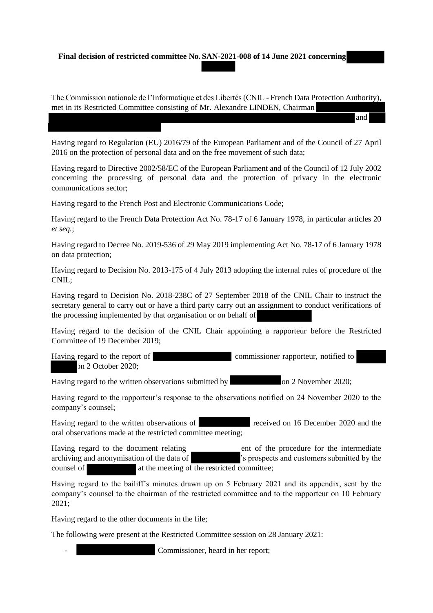#### **Final decision of restricted committee No. SAN-2021-008 of 14 June 2021 concerning**

The Commission nationale de l'Informatique et des Libertés (CNIL - French Data Protection Authority), met in its Restricted Committee consisting of Mr. Alexandre LINDEN, Chairman,

and

Having regard to Regulation (EU) 2016/79 of the European Parliament and of the Council of 27 April 2016 on the protection of personal data and on the free movement of such data;

Having regard to Directive 2002/58/EC of the European Parliament and of the Council of 12 July 2002 concerning the processing of personal data and the protection of privacy in the electronic communications sector;

Having regard to the French Post and Electronic Communications Code;

Having regard to the French Data Protection Act No. 78-17 of 6 January 1978, in particular articles 20 *et seq.*;

Having regard to Decree No. 2019-536 of 29 May 2019 implementing Act No. 78-17 of 6 January 1978 on data protection;

Having regard to Decision No. 2013-175 of 4 July 2013 adopting the internal rules of procedure of the CNIL;

Having regard to Decision No. 2018-238C of 27 September 2018 of the CNIL Chair to instruct the secretary general to carry out or have a third party carry out an assignment to conduct verifications of the processing implemented by that organisation or on behalf of

Having regard to the decision of the CNIL Chair appointing a rapporteur before the Restricted Committee of 19 December 2019;

Having regard to the report of commissioner rapporteur, notified to on 2 October 2020;

Having regard to the written observations submitted by on 2 November 2020;

Having regard to the rapporteur's response to the observations notified on 24 November 2020 to the company's counsel;

Having regard to the written observations of received on 16 December 2020 and the oral observations made at the restricted committee meeting;

Having regard to the document relating ent of the procedure for the intermediate archiving and anonymisation of the data of 's prospects and customers submitted by the counsel of at the meeting of the restricted committee:

Having regard to the bailiff's minutes drawn up on 5 February 2021 and its appendix, sent by the company's counsel to the chairman of the restricted committee and to the rapporteur on 10 February 2021;

Having regard to the other documents in the file;

The following were present at the Restricted Committee session on 28 January 2021:

Commissioner, heard in her report;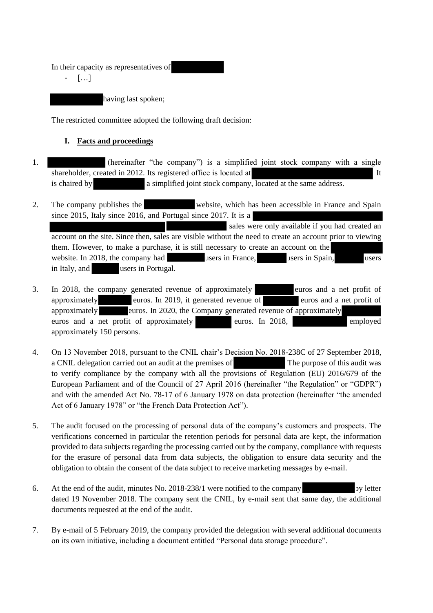In their capacity as representatives of

- […]

having last spoken;

The restricted committee adopted the following draft decision:

# **I. Facts and proceedings**

- 1. (hereinafter "the company") is a simplified joint stock company with a single shareholder, created in 2012. Its registered office is located at It is chaired by a simplified joint stock company, located at the same address.
- 2. The company publishes the website, which has been accessible in France and Spain since 2015, Italy since 2016, and Portugal since 2017. It is a sales were only available if you had created an account on the site. Since then, sales are visible without the need to create an account prior to viewing them. However, to make a purchase, it is still necessary to create an account on the website. In 2018, the company had users in France, users in Spain, users users in Italy, and users in Portugal.
- 3. In 2018, the company generated revenue of approximately euros and a net profit of approximately euros. In 2019, it generated revenue of euros and a net profit of approximately euros. In 2020, the Company generated revenue of approximately euros and a net profit of approximately euros. In 2018, employed approximately 150 persons.
- 4. On 13 November 2018, pursuant to the CNIL chair's Decision No. 2018-238C of 27 September 2018, a CNIL delegation carried out an audit at the premises of The purpose of this audit was to verify compliance by the company with all the provisions of Regulation (EU) 2016/679 of the European Parliament and of the Council of 27 April 2016 (hereinafter "the Regulation" or "GDPR") and with the amended Act No. 78-17 of 6 January 1978 on data protection (hereinafter "the amended Act of 6 January 1978" or "the French Data Protection Act").
- 5. The audit focused on the processing of personal data of the company's customers and prospects. The verifications concerned in particular the retention periods for personal data are kept, the information provided to data subjects regarding the processing carried out by the company, compliance with requests for the erasure of personal data from data subjects, the obligation to ensure data security and the obligation to obtain the consent of the data subject to receive marketing messages by e-mail.
- 6. At the end of the audit, minutes No. 2018-238/1 were notified to the company by letter dated 19 November 2018. The company sent the CNIL, by e-mail sent that same day, the additional documents requested at the end of the audit.
- 7. By e-mail of 5 February 2019, the company provided the delegation with several additional documents on its own initiative, including a document entitled "Personal data storage procedure".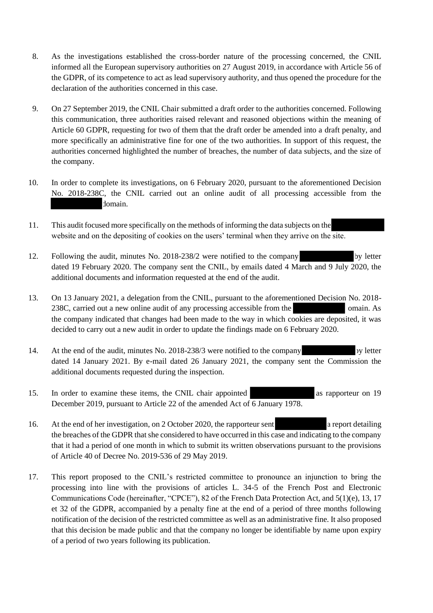- 8. As the investigations established the cross-border nature of the processing concerned, the CNIL informed all the European supervisory authorities on 27 August 2019, in accordance with Article 56 of the GDPR, of its competence to act as lead supervisory authority, and thus opened the procedure for the declaration of the authorities concerned in this case.
- 9. On 27 September 2019, the CNIL Chair submitted a draft order to the authorities concerned. Following this communication, three authorities raised relevant and reasoned objections within the meaning of Article 60 GDPR, requesting for two of them that the draft order be amended into a draft penalty, and more specifically an administrative fine for one of the two authorities. In support of this request, the authorities concerned highlighted the number of breaches, the number of data subjects, and the size of the company.
- 10. In order to complete its investigations, on 6 February 2020, pursuant to the aforementioned Decision No. 2018-238C, the CNIL carried out an online audit of all processing accessible from the domain.
- 11. This audit focused more specifically on the methods of informing the data subjects on the website and on the depositing of cookies on the users' terminal when they arrive on the site.
- 12. Following the audit, minutes No. 2018-238/2 were notified to the company by letter dated 19 February 2020. The company sent the CNIL, by emails dated 4 March and 9 July 2020, the additional documents and information requested at the end of the audit.
- 13. On 13 January 2021, a delegation from the CNIL, pursuant to the aforementioned Decision No. 2018- 238C, carried out a new online audit of any processing accessible from the omain. As the company indicated that changes had been made to the way in which cookies are deposited, it was decided to carry out a new audit in order to update the findings made on 6 February 2020.
- 14. At the end of the audit, minutes No. 2018-238/3 were notified to the company by letter dated 14 January 2021. By e-mail dated 26 January 2021, the company sent the Commission the additional documents requested during the inspection.
- 15. In order to examine these items, the CNIL chair appointed as rapporteur on 19 December 2019, pursuant to Article 22 of the amended Act of 6 January 1978.
- 16. At the end of her investigation, on 2 October 2020, the rapporteur sent a report detailing the breaches of the GDPR that she considered to have occurred in this case and indicating to the company that it had a period of one month in which to submit its written observations pursuant to the provisions of Article 40 of Decree No. 2019-536 of 29 May 2019.
- 17. This report proposed to the CNIL's restricted committee to pronounce an injunction to bring the processing into line with the provisions of articles L. 34-5 of the French Post and Electronic Communications Code (hereinafter, "CPCE"), 82 of the French Data Protection Act, and 5(1)(e), 13, 17 et 32 of the GDPR, accompanied by a penalty fine at the end of a period of three months following notification of the decision of the restricted committee as well as an administrative fine. It also proposed that this decision be made public and that the company no longer be identifiable by name upon expiry of a period of two years following its publication.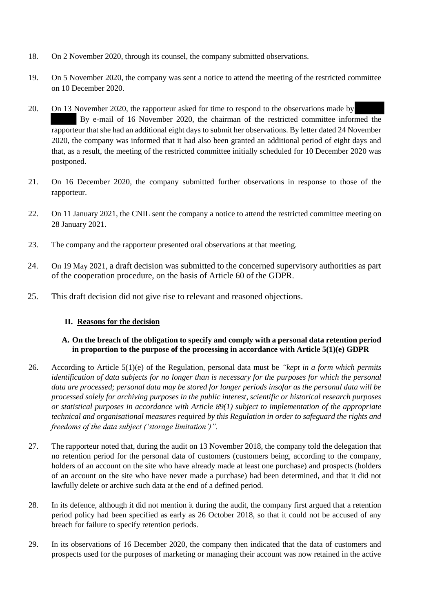- 18. On 2 November 2020, through its counsel, the company submitted observations.
- 19. On 5 November 2020, the company was sent a notice to attend the meeting of the restricted committee on 10 December 2020.
- 20. On 13 November 2020, the rapporteur asked for time to respond to the observations made by By e-mail of 16 November 2020, the chairman of the restricted committee informed the rapporteur that she had an additional eight days to submit her observations. By letter dated 24 November 2020, the company was informed that it had also been granted an additional period of eight days and that, as a result, the meeting of the restricted committee initially scheduled for 10 December 2020 was postponed.
- 21. On 16 December 2020, the company submitted further observations in response to those of the rapporteur.
- 22. On 11 January 2021, the CNIL sent the company a notice to attend the restricted committee meeting on 28 January 2021.
- 23. The company and the rapporteur presented oral observations at that meeting.
- 24. On 19 May 2021, a draft decision was submitted to the concerned supervisory authorities as part of the cooperation procedure, on the basis of Article 60 of the GDPR.
- 25. This draft decision did not give rise to relevant and reasoned objections.

#### **II. Reasons for the decision**

### **A. On the breach of the obligation to specify and comply with a personal data retention period in proportion to the purpose of the processing in accordance with Article 5(1)(e) GDPR**

- 26. According to Article 5(1)(e) of the Regulation, personal data must be *"kept in a form which permits identification of data subjects for no longer than is necessary for the purposes for which the personal data are processed; personal data may be stored for longer periods insofar as the personal data will be processed solely for archiving purposes in the public interest, scientific or historical research purposes or statistical purposes in accordance with Article 89(1) subject to implementation of the appropriate technical and organisational measures required by this Regulation in order to safeguard the rights and freedoms of the data subject ('storage limitation')".*
- 27. The rapporteur noted that, during the audit on 13 November 2018, the company told the delegation that no retention period for the personal data of customers (customers being, according to the company, holders of an account on the site who have already made at least one purchase) and prospects (holders of an account on the site who have never made a purchase) had been determined, and that it did not lawfully delete or archive such data at the end of a defined period.
- 28. In its defence, although it did not mention it during the audit, the company first argued that a retention period policy had been specified as early as 26 October 2018, so that it could not be accused of any breach for failure to specify retention periods.
- 29. In its observations of 16 December 2020, the company then indicated that the data of customers and prospects used for the purposes of marketing or managing their account was now retained in the active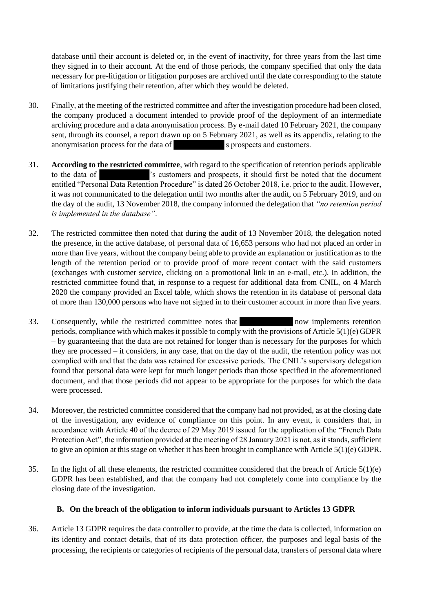database until their account is deleted or, in the event of inactivity, for three years from the last time they signed in to their account. At the end of those periods, the company specified that only the data necessary for pre-litigation or litigation purposes are archived until the date corresponding to the statute of limitations justifying their retention, after which they would be deleted.

- 30. Finally, at the meeting of the restricted committee and after the investigation procedure had been closed, the company produced a document intended to provide proof of the deployment of an intermediate archiving procedure and a data anonymisation process. By e-mail dated 10 February 2021, the company sent, through its counsel, a report drawn up on 5 February 2021, as well as its appendix, relating to the anonymisation process for the data of s prospects and customers.
- 31. **According to the restricted committee**, with regard to the specification of retention periods applicable to the data of 's customers and prospects, it should first be noted that the document entitled "Personal Data Retention Procedure" is dated 26 October 2018, i.e. prior to the audit. However, it was not communicated to the delegation until two months after the audit, on 5 February 2019, and on the day of the audit, 13 November 2018, the company informed the delegation that *"no retention period is implemented in the database"*.
- 32. The restricted committee then noted that during the audit of 13 November 2018, the delegation noted the presence, in the active database, of personal data of 16,653 persons who had not placed an order in more than five years, without the company being able to provide an explanation or justification as to the length of the retention period or to provide proof of more recent contact with the said customers (exchanges with customer service, clicking on a promotional link in an e-mail, etc.). In addition, the restricted committee found that, in response to a request for additional data from CNIL, on 4 March 2020 the company provided an Excel table, which shows the retention in its database of personal data of more than 130,000 persons who have not signed in to their customer account in more than five years.
- 33. Consequently, while the restricted committee notes that now implements retention periods, compliance with which makes it possible to comply with the provisions of Article 5(1)(e) GDPR – by guaranteeing that the data are not retained for longer than is necessary for the purposes for which they are processed – it considers, in any case, that on the day of the audit, the retention policy was not complied with and that the data was retained for excessive periods. The CNIL's supervisory delegation found that personal data were kept for much longer periods than those specified in the aforementioned document, and that those periods did not appear to be appropriate for the purposes for which the data were processed.
- 34. Moreover, the restricted committee considered that the company had not provided, as at the closing date of the investigation, any evidence of compliance on this point. In any event, it considers that, in accordance with Article 40 of the decree of 29 May 2019 issued for the application of the "French Data Protection Act", the information provided at the meeting of 28 January 2021 is not, as it stands, sufficient to give an opinion at this stage on whether it has been brought in compliance with Article 5(1)(e) GDPR.
- 35. In the light of all these elements, the restricted committee considered that the breach of Article 5(1)(e) GDPR has been established, and that the company had not completely come into compliance by the closing date of the investigation.

## **B. On the breach of the obligation to inform individuals pursuant to Articles 13 GDPR**

36. Article 13 GDPR requires the data controller to provide, at the time the data is collected, information on its identity and contact details, that of its data protection officer, the purposes and legal basis of the processing, the recipients or categories of recipients of the personal data, transfers of personal data where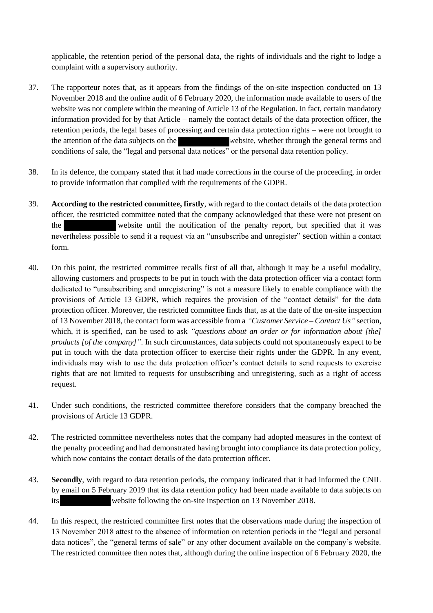applicable, the retention period of the personal data, the rights of individuals and the right to lodge a complaint with a supervisory authority.

- 37. The rapporteur notes that, as it appears from the findings of the on-site inspection conducted on 13 November 2018 and the online audit of 6 February 2020, the information made available to users of the website was not complete within the meaning of Article 13 of the Regulation. In fact, certain mandatory information provided for by that Article – namely the contact details of the data protection officer, the retention periods, the legal bases of processing and certain data protection rights – were not brought to the attention of the data subjects on the website, whether through the general terms and conditions of sale, the "legal and personal data notices" or the personal data retention policy.
- 38. In its defence, the company stated that it had made corrections in the course of the proceeding, in order to provide information that complied with the requirements of the GDPR.
- 39. **According to the restricted committee, firstly**, with regard to the contact details of the data protection officer, the restricted committee noted that the company acknowledged that these were not present on the website until the notification of the penalty report, but specified that it was nevertheless possible to send it a request via an "unsubscribe and unregister" section within a contact form.
- 40. On this point, the restricted committee recalls first of all that, although it may be a useful modality, allowing customers and prospects to be put in touch with the data protection officer via a contact form dedicated to "unsubscribing and unregistering" is not a measure likely to enable compliance with the provisions of Article 13 GDPR, which requires the provision of the "contact details" for the data protection officer. Moreover, the restricted committee finds that, as at the date of the on-site inspection of 13 November 2018, the contact form was accessible from a *"Customer Service – Contact Us"* section, which, it is specified, can be used to ask *"questions about an order or for information about [the] products [of the company]"*. In such circumstances, data subjects could not spontaneously expect to be put in touch with the data protection officer to exercise their rights under the GDPR. In any event, individuals may wish to use the data protection officer's contact details to send requests to exercise rights that are not limited to requests for unsubscribing and unregistering, such as a right of access request.
- 41. Under such conditions, the restricted committee therefore considers that the company breached the provisions of Article 13 GDPR.
- 42. The restricted committee nevertheless notes that the company had adopted measures in the context of the penalty proceeding and had demonstrated having brought into compliance its data protection policy, which now contains the contact details of the data protection officer.
- 43. **Secondly**, with regard to data retention periods, the company indicated that it had informed the CNIL by email on 5 February 2019 that its data retention policy had been made available to data subjects on its website following the on-site inspection on 13 November 2018.
- 44. In this respect, the restricted committee first notes that the observations made during the inspection of 13 November 2018 attest to the absence of information on retention periods in the "legal and personal data notices", the "general terms of sale" or any other document available on the company's website. The restricted committee then notes that, although during the online inspection of 6 February 2020, the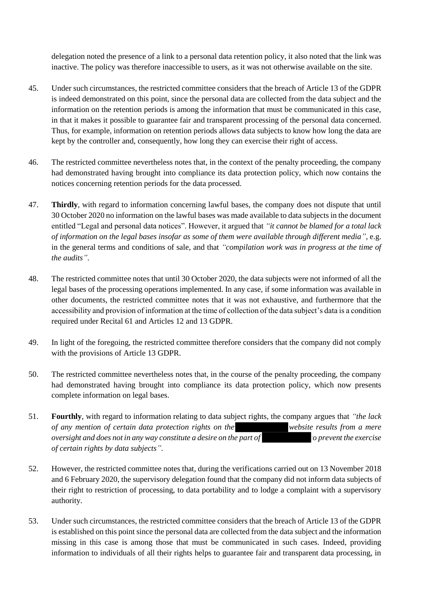delegation noted the presence of a link to a personal data retention policy, it also noted that the link was inactive. The policy was therefore inaccessible to users, as it was not otherwise available on the site.

- 45. Under such circumstances, the restricted committee considers that the breach of Article 13 of the GDPR is indeed demonstrated on this point, since the personal data are collected from the data subject and the information on the retention periods is among the information that must be communicated in this case, in that it makes it possible to guarantee fair and transparent processing of the personal data concerned. Thus, for example, information on retention periods allows data subjects to know how long the data are kept by the controller and, consequently, how long they can exercise their right of access.
- 46. The restricted committee nevertheless notes that, in the context of the penalty proceeding, the company had demonstrated having brought into compliance its data protection policy, which now contains the notices concerning retention periods for the data processed.
- 47. **Thirdly**, with regard to information concerning lawful bases, the company does not dispute that until 30 October 2020 no information on the lawful bases was made available to data subjects in the document entitled "Legal and personal data notices". However, it argued that *"it cannot be blamed for a total lack of information on the legal bases insofar as some of them were available through different media"*, e.g. in the general terms and conditions of sale, and that *"compilation work was in progress at the time of the audits"*.
- 48. The restricted committee notes that until 30 October 2020, the data subjects were not informed of all the legal bases of the processing operations implemented. In any case, if some information was available in other documents, the restricted committee notes that it was not exhaustive, and furthermore that the accessibility and provision of information at the time of collection of the data subject's data is a condition required under Recital 61 and Articles 12 and 13 GDPR.
- 49. In light of the foregoing, the restricted committee therefore considers that the company did not comply with the provisions of Article 13 GDPR.
- 50. The restricted committee nevertheless notes that, in the course of the penalty proceeding, the company had demonstrated having brought into compliance its data protection policy, which now presents complete information on legal bases.
- 51. **Fourthly**, with regard to information relating to data subject rights, the company argues that *"the lack of any mention of certain data protection rights on the website results from a mere oversight and does not in any way constitute a desire on the part of* the *prevent the exercise of certain rights by data subjects"*.
- 52. However, the restricted committee notes that, during the verifications carried out on 13 November 2018 and 6 February 2020, the supervisory delegation found that the company did not inform data subjects of their right to restriction of processing, to data portability and to lodge a complaint with a supervisory authority.
- 53. Under such circumstances, the restricted committee considers that the breach of Article 13 of the GDPR is established on this point since the personal data are collected from the data subject and the information missing in this case is among those that must be communicated in such cases. Indeed, providing information to individuals of all their rights helps to guarantee fair and transparent data processing, in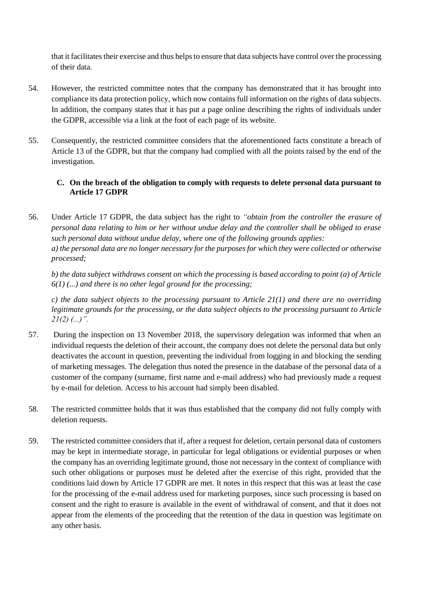that it facilitates their exercise and thus helps to ensure that data subjects have control over the processing of their data.

- 54. However, the restricted committee notes that the company has demonstrated that it has brought into compliance its data protection policy, which now contains full information on the rights of data subjects. In addition, the company states that it has put a page online describing the rights of individuals under the GDPR, accessible via a link at the foot of each page of its website.
- 55. Consequently, the restricted committee considers that the aforementioned facts constitute a breach of Article 13 of the GDPR, but that the company had complied with all the points raised by the end of the investigation.

## **C. On the breach of the obligation to comply with requests to delete personal data pursuant to Article 17 GDPR**

56. Under Article 17 GDPR, the data subject has the right to *"obtain from the controller the erasure of personal data relating to him or her without undue delay and the controller shall be obliged to erase such personal data without undue delay, where one of the following grounds applies: a) the personal data are no longer necessary for the purposes for which they were collected or otherwise processed;*

*b) the data subject withdraws consent on which the processing is based according to point (a) of Article 6(1) (...) and there is no other legal ground for the processing;*

*c) the data subject objects to the processing pursuant to Article 21(1) and there are no overriding legitimate grounds for the processing, or the data subject objects to the processing pursuant to Article 21(2) (...)".*

- 57. During the inspection on 13 November 2018, the supervisory delegation was informed that when an individual requests the deletion of their account, the company does not delete the personal data but only deactivates the account in question, preventing the individual from logging in and blocking the sending of marketing messages. The delegation thus noted the presence in the database of the personal data of a customer of the company (surname, first name and e-mail address) who had previously made a request by e-mail for deletion. Access to his account had simply been disabled.
- 58. The restricted committee holds that it was thus established that the company did not fully comply with deletion requests.
- 59. The restricted committee considers that if, after a request for deletion, certain personal data of customers may be kept in intermediate storage, in particular for legal obligations or evidential purposes or when the company has an overriding legitimate ground, those not necessary in the context of compliance with such other obligations or purposes must be deleted after the exercise of this right, provided that the conditions laid down by Article 17 GDPR are met. It notes in this respect that this was at least the case for the processing of the e-mail address used for marketing purposes, since such processing is based on consent and the right to erasure is available in the event of withdrawal of consent, and that it does not appear from the elements of the proceeding that the retention of the data in question was legitimate on any other basis.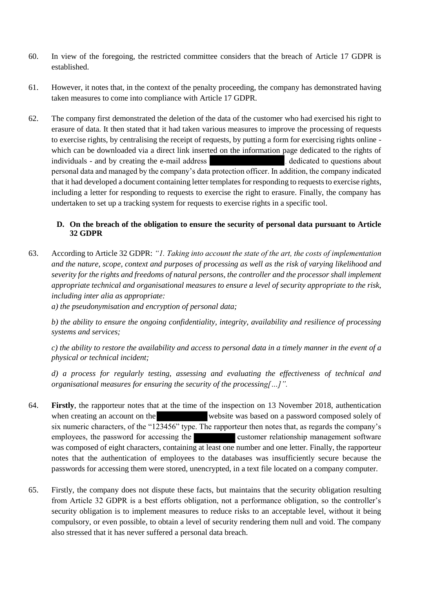- 60. In view of the foregoing, the restricted committee considers that the breach of Article 17 GDPR is established.
- 61. However, it notes that, in the context of the penalty proceeding, the company has demonstrated having taken measures to come into compliance with Article 17 GDPR.
- 62. The company first demonstrated the deletion of the data of the customer who had exercised his right to erasure of data. It then stated that it had taken various measures to improve the processing of requests to exercise rights, by centralising the receipt of requests, by putting a form for exercising rights online which can be downloaded via a direct link inserted on the information page dedicated to the rights of individuals - and by creating the e-mail address , dedicated to questions about personal data and managed by the company's data protection officer. In addition, the company indicated that it had developed a document containing letter templates for responding to requests to exercise rights, including a letter for responding to requests to exercise the right to erasure. Finally, the company has undertaken to set up a tracking system for requests to exercise rights in a specific tool.

## **D. On the breach of the obligation to ensure the security of personal data pursuant to Article 32 GDPR**

63. According to Article 32 GDPR: *"1. Taking into account the state of the art, the costs of implementation and the nature, scope, context and purposes of processing as well as the risk of varying likelihood and severity for the rights and freedoms of natural persons, the controller and the processor shall implement appropriate technical and organisational measures to ensure a level of security appropriate to the risk, including inter alia as appropriate:*

*a) the pseudonymisation and encryption of personal data;*

*b) the ability to ensure the ongoing confidentiality, integrity, availability and resilience of processing systems and services;*

*c) the ability to restore the availability and access to personal data in a timely manner in the event of a physical or technical incident;*

*d) a process for regularly testing, assessing and evaluating the effectiveness of technical and organisational measures for ensuring the security of the processing[…]".*

- 64. **Firstly**, the rapporteur notes that at the time of the inspection on 13 November 2018, authentication when creating an account on the website was based on a password composed solely of six numeric characters, of the "123456" type. The rapporteur then notes that, as regards the company's employees, the password for accessing the customer relationship management software was composed of eight characters, containing at least one number and one letter. Finally, the rapporteur notes that the authentication of employees to the databases was insufficiently secure because the passwords for accessing them were stored, unencrypted, in a text file located on a company computer.
- 65. Firstly, the company does not dispute these facts, but maintains that the security obligation resulting from Article 32 GDPR is a best efforts obligation, not a performance obligation, so the controller's security obligation is to implement measures to reduce risks to an acceptable level, without it being compulsory, or even possible, to obtain a level of security rendering them null and void. The company also stressed that it has never suffered a personal data breach.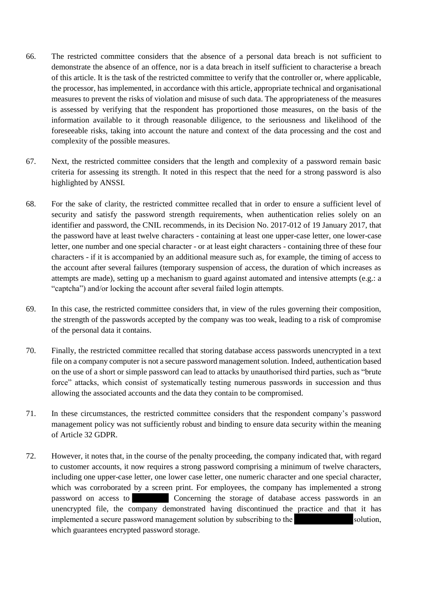- 66. The restricted committee considers that the absence of a personal data breach is not sufficient to demonstrate the absence of an offence, nor is a data breach in itself sufficient to characterise a breach of this article. It is the task of the restricted committee to verify that the controller or, where applicable, the processor, has implemented, in accordance with this article, appropriate technical and organisational measures to prevent the risks of violation and misuse of such data. The appropriateness of the measures is assessed by verifying that the respondent has proportioned those measures, on the basis of the information available to it through reasonable diligence, to the seriousness and likelihood of the foreseeable risks, taking into account the nature and context of the data processing and the cost and complexity of the possible measures.
- 67. Next, the restricted committee considers that the length and complexity of a password remain basic criteria for assessing its strength. It noted in this respect that the need for a strong password is also highlighted by ANSSI.
- 68. For the sake of clarity, the restricted committee recalled that in order to ensure a sufficient level of security and satisfy the password strength requirements, when authentication relies solely on an identifier and password, the CNIL recommends, in its Decision No. 2017-012 of 19 January 2017, that the password have at least twelve characters - containing at least one upper-case letter, one lower-case letter, one number and one special character - or at least eight characters - containing three of these four characters - if it is accompanied by an additional measure such as, for example, the timing of access to the account after several failures (temporary suspension of access, the duration of which increases as attempts are made), setting up a mechanism to guard against automated and intensive attempts (e.g.: a "captcha") and/or locking the account after several failed login attempts.
- 69. In this case, the restricted committee considers that, in view of the rules governing their composition, the strength of the passwords accepted by the company was too weak, leading to a risk of compromise of the personal data it contains.
- 70. Finally, the restricted committee recalled that storing database access passwords unencrypted in a text file on a company computer is not a secure password management solution. Indeed, authentication based on the use of a short or simple password can lead to attacks by unauthorised third parties, such as "brute force" attacks, which consist of systematically testing numerous passwords in succession and thus allowing the associated accounts and the data they contain to be compromised.
- 71. In these circumstances, the restricted committee considers that the respondent company's password management policy was not sufficiently robust and binding to ensure data security within the meaning of Article 32 GDPR.
- 72. However, it notes that, in the course of the penalty proceeding, the company indicated that, with regard to customer accounts, it now requires a strong password comprising a minimum of twelve characters, including one upper-case letter, one lower case letter, one numeric character and one special character, which was corroborated by a screen print. For employees, the company has implemented a strong password on access to Concerning the storage of database access passwords in an unencrypted file, the company demonstrated having discontinued the practice and that it has implemented a secure password management solution by subscribing to the solution, which guarantees encrypted password storage.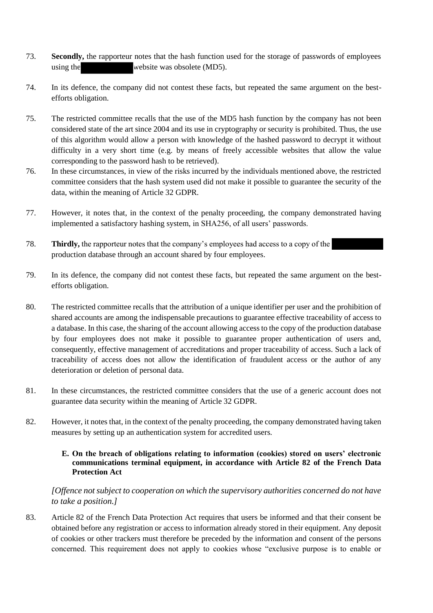- 73. **Secondly,** the rapporteur notes that the hash function used for the storage of passwords of employees using the website was obsolete (MD5).
- 74. In its defence, the company did not contest these facts, but repeated the same argument on the bestefforts obligation.
- 75. The restricted committee recalls that the use of the MD5 hash function by the company has not been considered state of the art since 2004 and its use in cryptography or security is prohibited. Thus, the use of this algorithm would allow a person with knowledge of the hashed password to decrypt it without difficulty in a very short time (e.g. by means of freely accessible websites that allow the value corresponding to the password hash to be retrieved).
- 76. In these circumstances, in view of the risks incurred by the individuals mentioned above, the restricted committee considers that the hash system used did not make it possible to guarantee the security of the data, within the meaning of Article 32 GDPR.
- 77. However, it notes that, in the context of the penalty proceeding, the company demonstrated having implemented a satisfactory hashing system, in SHA256, of all users' passwords.
- 78. **Thirdly,** the rapporteur notes that the company's employees had access to a copy of the production database through an account shared by four employees.
- 79. In its defence, the company did not contest these facts, but repeated the same argument on the bestefforts obligation.
- 80. The restricted committee recalls that the attribution of a unique identifier per user and the prohibition of shared accounts are among the indispensable precautions to guarantee effective traceability of access to a database. In this case, the sharing of the account allowing access to the copy of the production database by four employees does not make it possible to guarantee proper authentication of users and, consequently, effective management of accreditations and proper traceability of access. Such a lack of traceability of access does not allow the identification of fraudulent access or the author of any deterioration or deletion of personal data.
- 81. In these circumstances, the restricted committee considers that the use of a generic account does not guarantee data security within the meaning of Article 32 GDPR.
- 82. However, it notes that, in the context of the penalty proceeding, the company demonstrated having taken measures by setting up an authentication system for accredited users.

## **E. On the breach of obligations relating to information (cookies) stored on users' electronic communications terminal equipment, in accordance with Article 82 of the French Data Protection Act**

*[Offence not subject to cooperation on which the supervisory authorities concerned do not have to take a position.]*

83. Article 82 of the French Data Protection Act requires that users be informed and that their consent be obtained before any registration or access to information already stored in their equipment. Any deposit of cookies or other trackers must therefore be preceded by the information and consent of the persons concerned. This requirement does not apply to cookies whose "exclusive purpose is to enable or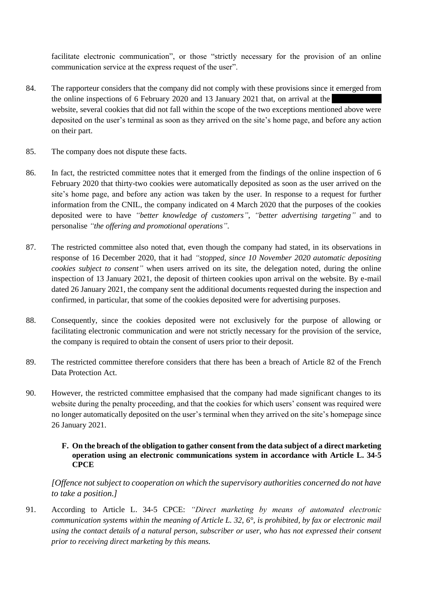facilitate electronic communication", or those "strictly necessary for the provision of an online communication service at the express request of the user".

- 84. The rapporteur considers that the company did not comply with these provisions since it emerged from the online inspections of 6 February 2020 and 13 January 2021 that, on arrival at the website, several cookies that did not fall within the scope of the two exceptions mentioned above were deposited on the user's terminal as soon as they arrived on the site's home page, and before any action on their part.
- 85. The company does not dispute these facts.
- 86. In fact, the restricted committee notes that it emerged from the findings of the online inspection of 6 February 2020 that thirty-two cookies were automatically deposited as soon as the user arrived on the site's home page, and before any action was taken by the user. In response to a request for further information from the CNIL, the company indicated on 4 March 2020 that the purposes of the cookies deposited were to have *"better knowledge of customers"*, *"better advertising targeting"* and to personalise *"the offering and promotional operations"*.
- 87. The restricted committee also noted that, even though the company had stated, in its observations in response of 16 December 2020, that it had *"stopped, since 10 November 2020 automatic depositing cookies subject to consent"* when users arrived on its site, the delegation noted, during the online inspection of 13 January 2021, the deposit of thirteen cookies upon arrival on the website. By e-mail dated 26 January 2021, the company sent the additional documents requested during the inspection and confirmed, in particular, that some of the cookies deposited were for advertising purposes.
- 88. Consequently, since the cookies deposited were not exclusively for the purpose of allowing or facilitating electronic communication and were not strictly necessary for the provision of the service, the company is required to obtain the consent of users prior to their deposit.
- 89. The restricted committee therefore considers that there has been a breach of Article 82 of the French Data Protection Act.
- 90. However, the restricted committee emphasised that the company had made significant changes to its website during the penalty proceeding, and that the cookies for which users' consent was required were no longer automatically deposited on the user's terminal when they arrived on the site's homepage since 26 January 2021.

#### **F. On the breach of the obligation to gather consent from the data subject of a direct marketing operation using an electronic communications system in accordance with Article L. 34-5 CPCE**

*[Offence not subject to cooperation on which the supervisory authorities concerned do not have to take a position.]*

91. According to Article L. 34-5 CPCE: *"Direct marketing by means of automated electronic communication systems within the meaning of Article [L. 32, 6](https://www.legifrance.gouv.fr/affichCodeArticle.do?cidTexte=LEGITEXT000006070987&idArticle=LEGIARTI000006465394&dateTexte=&categorieLien=cid)°, is prohibited, by fax or electronic mail using the contact details of a natural person, subscriber or user, who has not expressed their consent prior to receiving direct marketing by this means.*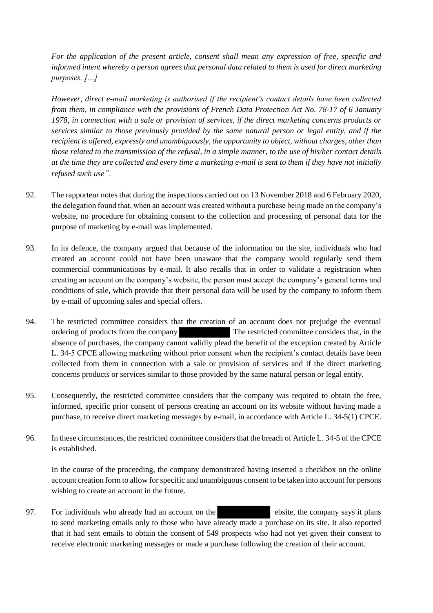*For the application of the present article, consent shall mean any expression of free, specific and informed intent whereby a person agrees that personal data related to them is used for direct marketing purposes. […]*

*However, direct e-mail marketing is authorised if the recipient's contact details have been collected from them, in compliance with the provisions of French Data Protection Act No. [78-17 o](https://www.legifrance.gouv.fr/affichTexte.do?cidTexte=JORFTEXT000000886460&categorieLien=cid)f 6 January 1978, in connection with a sale or provision of services, if the direct marketing concerns products or services similar to those previously provided by the same natural person or legal entity, and if the recipient is offered, expressly and unambiguously, the opportunity to object, without charges, other than those related to the transmission of the refusal, in a simple manner, to the use of his/her contact details at the time they are collected and every time a marketing e-mail is sent to them if they have not initially refused such use".*

- 92. The rapporteur notes that during the inspections carried out on 13 November 2018 and 6 February 2020, the delegation found that, when an account was created without a purchase being made on the company's website, no procedure for obtaining consent to the collection and processing of personal data for the purpose of marketing by e-mail was implemented.
- 93. In its defence, the company argued that because of the information on the site, individuals who had created an account could not have been unaware that the company would regularly send them commercial communications by e-mail. It also recalls that in order to validate a registration when creating an account on the company's website, the person must accept the company's general terms and conditions of sale, which provide that their personal data will be used by the company to inform them by e-mail of upcoming sales and special offers.
- 94. The restricted committee considers that the creation of an account does not prejudge the eventual ordering of products from the company . The restricted committee considers that, in the absence of purchases, the company cannot validly plead the benefit of the exception created by Article L. 34-5 CPCE allowing marketing without prior consent when the recipient's contact details have been collected from them in connection with a sale or provision of services and if the direct marketing concerns products or services similar to those provided by the same natural person or legal entity.
- 95. Consequently, the restricted committee considers that the company was required to obtain the free, informed, specific prior consent of persons creating an account on its website without having made a purchase, to receive direct marketing messages by e-mail, in accordance with Article L. 34-5(1) CPCE.
- 96. In these circumstances, the restricted committee considers that the breach of Article L. 34-5 of the CPCE is established.

In the course of the proceeding, the company demonstrated having inserted a checkbox on the online account creation form to allow for specific and unambiguous consent to be taken into account for persons wishing to create an account in the future.

97. For individuals who already had an account on the ebsite, the company says it plans to send marketing emails only to those who have already made a purchase on its site. It also reported that it had sent emails to obtain the consent of 549 prospects who had not yet given their consent to receive electronic marketing messages or made a purchase following the creation of their account.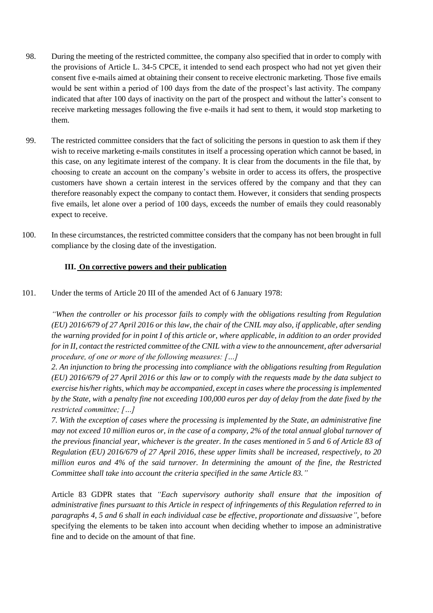- 98. During the meeting of the restricted committee, the company also specified that in order to comply with the provisions of Article L. 34-5 CPCE, it intended to send each prospect who had not yet given their consent five e-mails aimed at obtaining their consent to receive electronic marketing. Those five emails would be sent within a period of 100 days from the date of the prospect's last activity. The company indicated that after 100 days of inactivity on the part of the prospect and without the latter's consent to receive marketing messages following the five e-mails it had sent to them, it would stop marketing to them.
- 99. The restricted committee considers that the fact of soliciting the persons in question to ask them if they wish to receive marketing e-mails constitutes in itself a processing operation which cannot be based, in this case, on any legitimate interest of the company. It is clear from the documents in the file that, by choosing to create an account on the company's website in order to access its offers, the prospective customers have shown a certain interest in the services offered by the company and that they can therefore reasonably expect the company to contact them. However, it considers that sending prospects five emails, let alone over a period of 100 days, exceeds the number of emails they could reasonably expect to receive.
- 100. In these circumstances, the restricted committee considers that the company has not been brought in full compliance by the closing date of the investigation.

## **III. On corrective powers and their publication**

101. Under the terms of Article 20 III of the amended Act of 6 January 1978:

*"When the controller or his processor fails to comply with the obligations resulting from Regulation (EU) 2016/679 of 27 April 2016 or this law, the chair of the CNIL may also, if applicable, after sending the warning provided for in point I of this article or, where applicable, in addition to an order provided for in II, contact the restricted committee of the CNIL with a view to the announcement, after adversarial procedure, of one or more of the following measures: […]*

*2. An injunction to bring the processing into compliance with the obligations resulting from Regulation (EU) 2016/679 of 27 April 2016 or this law or to comply with the requests made by the data subject to exercise his/her rights, which may be accompanied, except in cases where the processing is implemented by the State, with a penalty fine not exceeding 100,000 euros per day of delay from the date fixed by the restricted committee; […]*

*7. With the exception of cases where the processing is implemented by the State, an administrative fine may not exceed 10 million euros or, in the case of a company, 2% of the total annual global turnover of the previous financial year, whichever is the greater. In the cases mentioned in 5 and 6 of Article 83 of Regulation (EU) 2016/679 of 27 April 2016, these upper limits shall be increased, respectively, to 20 million euros and 4% of the said turnover. In determining the amount of the fine, the Restricted Committee shall take into account the criteria specified in the same Article 83."*

Article 83 GDPR states that *"Each supervisory authority shall ensure that the imposition of administrative fines pursuant to this Article in respect of infringements of this Regulation referred to in paragraphs 4, 5 and 6 shall in each individual case be effective, proportionate and dissuasive"*, before specifying the elements to be taken into account when deciding whether to impose an administrative fine and to decide on the amount of that fine.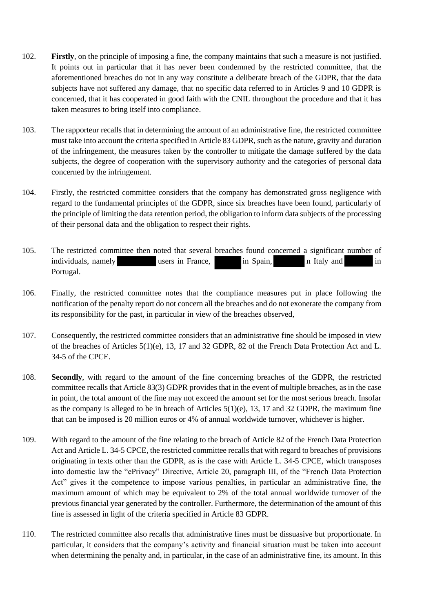- 102. **Firstly**, on the principle of imposing a fine, the company maintains that such a measure is not justified. It points out in particular that it has never been condemned by the restricted committee, that the aforementioned breaches do not in any way constitute a deliberate breach of the GDPR, that the data subjects have not suffered any damage, that no specific data referred to in Articles 9 and 10 GDPR is concerned, that it has cooperated in good faith with the CNIL throughout the procedure and that it has taken measures to bring itself into compliance.
- 103. The rapporteur recalls that in determining the amount of an administrative fine, the restricted committee must take into account the criteria specified in Article 83 GDPR, such as the nature, gravity and duration of the infringement, the measures taken by the controller to mitigate the damage suffered by the data subjects, the degree of cooperation with the supervisory authority and the categories of personal data concerned by the infringement.
- 104. Firstly, the restricted committee considers that the company has demonstrated gross negligence with regard to the fundamental principles of the GDPR, since six breaches have been found, particularly of the principle of limiting the data retention period, the obligation to inform data subjects of the processing of their personal data and the obligation to respect their rights.
- 105. The restricted committee then noted that several breaches found concerned a significant number of individuals, namely users in France, in Spain, in Italy and in in Portugal.
- 106. Finally, the restricted committee notes that the compliance measures put in place following the notification of the penalty report do not concern all the breaches and do not exonerate the company from its responsibility for the past, in particular in view of the breaches observed,
- 107. Consequently, the restricted committee considers that an administrative fine should be imposed in view of the breaches of Articles 5(1)(e), 13, 17 and 32 GDPR, 82 of the French Data Protection Act and L. 34-5 of the CPCE.
- 108. **Secondly**, with regard to the amount of the fine concerning breaches of the GDPR, the restricted committee recalls that Article 83(3) GDPR provides that in the event of multiple breaches, as in the case in point, the total amount of the fine may not exceed the amount set for the most serious breach. Insofar as the company is alleged to be in breach of Articles  $5(1)(e)$ , 13, 17 and 32 GDPR, the maximum fine that can be imposed is 20 million euros or 4% of annual worldwide turnover, whichever is higher.
- 109. With regard to the amount of the fine relating to the breach of Article 82 of the French Data Protection Act and Article L. 34-5 CPCE, the restricted committee recalls that with regard to breaches of provisions originating in texts other than the GDPR, as is the case with Article L. 34-5 CPCE, which transposes into domestic law the "ePrivacy" Directive, Article 20, paragraph III, of the "French Data Protection Act" gives it the competence to impose various penalties, in particular an administrative fine, the maximum amount of which may be equivalent to 2% of the total annual worldwide turnover of the previous financial year generated by the controller. Furthermore, the determination of the amount of this fine is assessed in light of the criteria specified in Article 83 GDPR.
- 110. The restricted committee also recalls that administrative fines must be dissuasive but proportionate. In particular, it considers that the company's activity and financial situation must be taken into account when determining the penalty and, in particular, in the case of an administrative fine, its amount. In this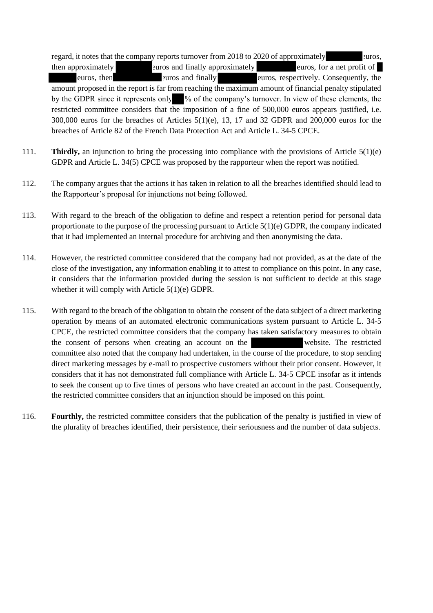regard, it notes that the company reports turnover from 2018 to 2020 of approximately euros, then approximately euros and finally approximately euros, for a net profit of euros, then euros and finally euros, respectively. Consequently, the amount proposed in the report is far from reaching the maximum amount of financial penalty stipulated by the GDPR since it represents only % of the company's turnover. In view of these elements, the restricted committee considers that the imposition of a fine of 500,000 euros appears justified, i.e. 300,000 euros for the breaches of Articles 5(1)(e), 13, 17 and 32 GDPR and 200,000 euros for the breaches of Article 82 of the French Data Protection Act and Article L. 34-5 CPCE.

- 111. **Thirdly,** an injunction to bring the processing into compliance with the provisions of Article 5(1)(e) GDPR and Article L. 34(5) CPCE was proposed by the rapporteur when the report was notified.
- 112. The company argues that the actions it has taken in relation to all the breaches identified should lead to the Rapporteur's proposal for injunctions not being followed.
- 113. With regard to the breach of the obligation to define and respect a retention period for personal data proportionate to the purpose of the processing pursuant to Article 5(1)(e) GDPR, the company indicated that it had implemented an internal procedure for archiving and then anonymising the data.
- 114. However, the restricted committee considered that the company had not provided, as at the date of the close of the investigation, any information enabling it to attest to compliance on this point. In any case, it considers that the information provided during the session is not sufficient to decide at this stage whether it will comply with Article 5(1)(e) GDPR.
- 115. With regard to the breach of the obligation to obtain the consent of the data subject of a direct marketing operation by means of an automated electronic communications system pursuant to Article L. 34-5 CPCE, the restricted committee considers that the company has taken satisfactory measures to obtain the consent of persons when creating an account on the website. The restricted committee also noted that the company had undertaken, in the course of the procedure, to stop sending direct marketing messages by e-mail to prospective customers without their prior consent. However, it considers that it has not demonstrated full compliance with Article L. 34-5 CPCE insofar as it intends to seek the consent up to five times of persons who have created an account in the past. Consequently, the restricted committee considers that an injunction should be imposed on this point.
- 116. **Fourthly,** the restricted committee considers that the publication of the penalty is justified in view of the plurality of breaches identified, their persistence, their seriousness and the number of data subjects.